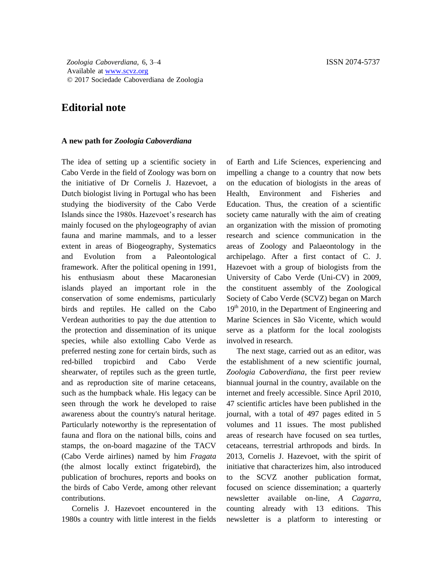## **Editorial note**

## **A new path for** *Zoologia Caboverdiana*

The idea of setting up a scientific society in Cabo Verde in the field of Zoology was born on the initiative of Dr Cornelis J. Hazevoet, a Dutch biologist living in Portugal who has been studying the biodiversity of the Cabo Verde Islands since the 1980s. Hazevoet's research has mainly focused on the phylogeography of avian fauna and marine mammals, and to a lesser extent in areas of Biogeography, Systematics and Evolution from a Paleontological framework. After the political opening in 1991, his enthusiasm about these Macaronesian islands played an important role in the conservation of some endemisms, particularly birds and reptiles. He called on the Cabo Verdean authorities to pay the due attention to the protection and dissemination of its unique species, while also extolling Cabo Verde as preferred nesting zone for certain birds, such as red-billed tropicbird and Cabo Verde shearwater, of reptiles such as the green turtle, and as reproduction site of marine cetaceans, such as the humpback whale. His legacy can be seen through the work he developed to raise awareness about the country's natural heritage. Particularly noteworthy is the representation of fauna and flora on the national bills, coins and stamps, the on-board magazine of the TACV (Cabo Verde airlines) named by him *Fragata* (the almost locally extinct frigatebird), the publication of brochures, reports and books on the birds of Cabo Verde, among other relevant contributions.

Cornelis J. Hazevoet encountered in the 1980s a country with little interest in the fields of Earth and Life Sciences, experiencing and impelling a change to a country that now bets on the education of biologists in the areas of Health, Environment and Fisheries and Education. Thus, the creation of a scientific society came naturally with the aim of creating an organization with the mission of promoting research and science communication in the areas of Zoology and Palaeontology in the archipelago. After a first contact of C. J. Hazevoet with a group of biologists from the University of Cabo Verde (Uni-CV) in 2009, the constituent assembly of the Zoological Society of Cabo Verde (SCVZ) began on March 19<sup>th</sup> 2010, in the Department of Engineering and Marine Sciences in São Vicente, which would serve as a platform for the local zoologists involved in research.

The next stage, carried out as an editor, was the establishment of a new scientific journal, *Zoologia Caboverdiana*, the first peer review biannual journal in the country, available on the internet and freely accessible. Since April 2010, 47 scientific articles have been published in the journal, with a total of 497 pages edited in 5 volumes and 11 issues. The most published areas of research have focused on sea turtles, cetaceans, terrestrial arthropods and birds. In 2013, Cornelis J. Hazevoet, with the spirit of initiative that characterizes him, also introduced to the SCVZ another publication format, focused on science dissemination; a quarterly newsletter available on-line, *A Cagarra*, counting already with 13 editions. This newsletter is a platform to interesting or